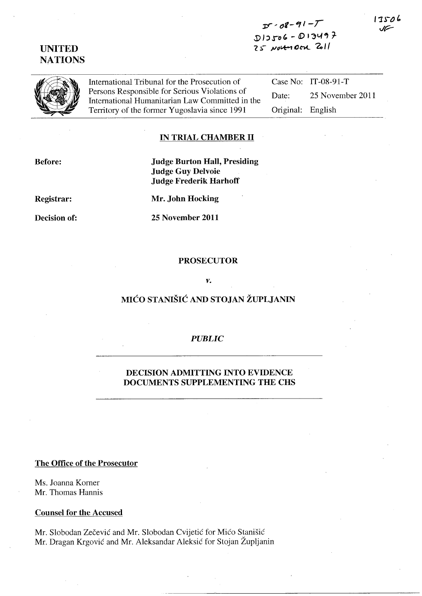# **UNITED NATIONS**



International Tribunal for the Prosecution of Persons Responsible for Serious Violations of International Humanitarian Law Committed in the Territory of the former Yugoslavia since 1991

Case No: IT-08-91-T Date: 25 November 2011 Original: English

### **IN TRIAL CHAMBER 11**

**Before:** 

**Judge Burton Hall, Presiding Judge Guy Delvoie Judge Frederik Harhoff** 

**Registrar:** 

**Decision of:** 

**Mr. John Hocking** 

**25 November 2011** 

### **PROSECUTOR**

*v.* 

# **MICO STANISIC AND STOJAN ZUPLJANIN**

## *PUBLIC*

### **DECISION ADMITTING INTO EVIDENCE DOCUMENTS SUPPLEMENTING THE CHS**

#### **The Office of the Prosecutor**

Ms. Joanna Korner Mr. Thomas Hannis

#### **Counsel for the Accused**

Mr. Slobodan Zecevic and Mr. Slobodan Cvijetic for Mico Stanisic Mr. Dragan Krgovic and Mr. Aleksandar Aleksic for Stojan Zupljanin 17506 JF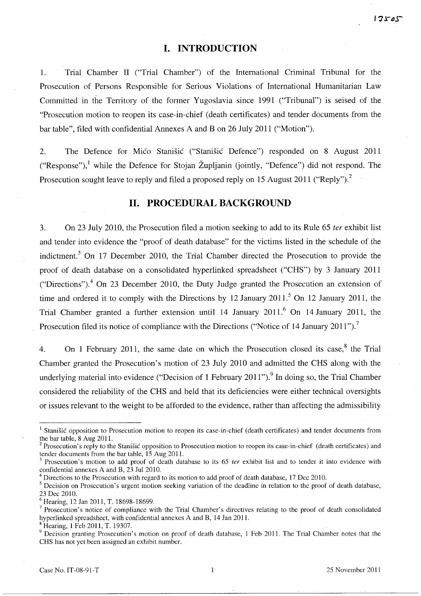### **I. INTRODUCTION**

1. Trial Chamber II ("Trial Chamber") of the International Criminal Tribunal for the Prosecution of Persons Responsible for Serious Violations of International Humanitarian Law Committed in the Territory of the former Yugoslavia since 1991 ("Tribunal") is seised of the "Prosecution motion to reopen its case-in-chief (death certificates) and tender documents from the bar table", filed with confidential Annexes A and B on 26 July 2011 ("Motion").

2. The Defence for Mico Stanisic ("Stanisic Defence") responded on 8 August 2011 ("Response"),<sup>1</sup> while the Defence for Stojan Župljanin (jointly, "Defence") did not respond. The Prosecution sought leave to reply and filed a proposed reply on 15 August 2011 ("Reply").<sup>2</sup>

## **11. PROCEDURAL BACKGROUND**

3. On 23 July 2010, the Prosecution filed a motion seeking to add to its Rule 65 *ter* exhibit list and tender into evidence the "proof of death database" for the victims listed in the schedule of the indictment.<sup>3</sup> On 17 December 2010, the Trial Chamber directed the Prosecution to provide the proof of death database on a consolidated hyperlinked spreadsheet ("CHS") by 3 January 2011 ("Directions").<sup>4</sup> On 23 December 2010, the Duty Judge granted the Prosecution an extension of time and ordered it to comply with the Directions by 12 January 2011.<sup>5</sup> On 12 January 2011, the Trial Chamber granted a further extension until 14 January 2011.<sup>6</sup> On 14 January 2011, the Prosecution filed its notice of compliance with the Directions ("Notice of 14 January 2011").<sup>7</sup>

4. On 1 February 2011, the same date on which the Prosecution closed its case, $8$  the Trial Chamber granted the Prosecution's motion of 23 July 2010 and admitted the CHS along with the underlying material into evidence ("Decision of 1 February 2011"). <sup>9</sup> In doing so, the Trial Chamber considered the reliability of the CHS and held that its deficiencies were either technical oversights or issues relevant to the weight to be afforded to the evidence, rather than affecting the admissibility

<sup>&</sup>lt;sup>1</sup> Stanišić opposition to Prosecution motion to reopen its case-in-chief (death certificates) and tender documents from the bar table, 8 Aug 2011.

<sup>2</sup> Prosecution's reply to the Stanisic opposition to Prosecution motion to reopen its case-in-chief (death certificates) and tender documents from the bar table, 15 Aug 2011.

Prosecution's motion to add proof of death database to its 65 ter exhibit list and to tender it into evidence with confidential annexes A and B, 23 Jul 2010.

<sup>4</sup> Directions to the Prosecution with regard to its motion to add proof of death database, 17 Dec 2010.

 $<sup>5</sup>$  Decision on Prosecution's urgent motion seeking variation of the deadline in relation to the proof of death database,</sup> 23 Dec 2010.

<sup>6</sup> Hearing, 12 Jan 2011, T. 18698-18699.

 $<sup>7</sup>$  Prosecution's notice of compliance with the Trial Chamber's directives relating to the proof of death consolidated</sup> hyperlinked spreadsheet, with confidential annexes A and B, 14 Jan 2011.

Hearing, 1 Feb 2011, T. 19307.

 $9$  Decision granting Prosecution's motion on proof of death database, 1 Feb 2011. The Trial Chamber notes that the CHS has not yet been assigned an exhibit number.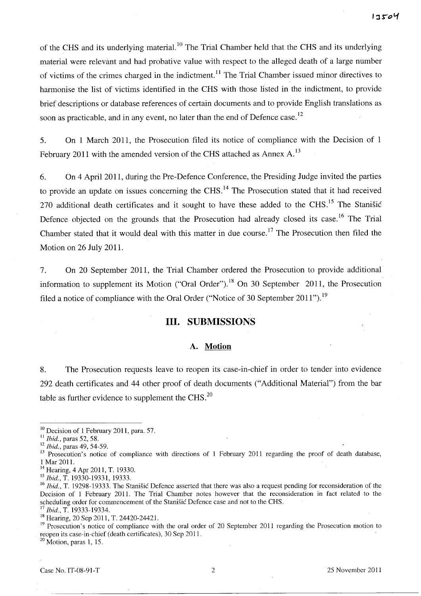of the CHS and its underlying material.<sup>10</sup> The Trial Chamber held that the CHS and its underlying material were relevant and had probative value with respect to the alleged death of a large number of victims of the crimes charged in the indictment.!! The Trial Chamber issued minor directives to harmonise the list of victims identified in the CHS with those listed in the indictment, to provide brief descriptions or database references of certain documents and to provide English translations as soon as practicable, and in any event, no later than the end of Defence case.<sup>12</sup>

5. On 1 March 2011, the Prosecution filed its notice of compliance with the Decision of 1 February 2011 with the amended version of the CHS attached as Annex  $A$ .<sup>13</sup>

6. On 4 April 2011, during the Pre-Defence Conference, the Presiding Judge invited the parties to provide an update on issues concerning the CHS.<sup>14</sup> The Prosecution stated that it had received 270 additional death certificates and it sought to have these added to the CHS.<sup>15</sup> The Stanisic Defence objected on the grounds that the Prosecution had already closed its case.<sup>16</sup> The Trial Chamber stated that it would deal with this matter in due course.<sup>17</sup> The Prosecution then filed the Motion on 26 July 2011.

7. On 20 September 2011, the Trial Chamber ordered the Prosecution to provide additional information to supplement its Motion ("Oral Order").<sup>18</sup> On 30 September 2011, the Prosecution filed a notice of compliance with the Oral Order ("Notice of 30 September  $2011$ ").<sup>19</sup>

## **Ill. SUBMISSIONS**

#### **A. Motion**

8. The Prosecution requests leave to reopen its case-in-chief in order to tender into evidence 292 death certificates and 44 other proof of death documents ("Additional Material") from the bar table as further evidence to supplement the CHS. $^{20}$ 

 $20$  Motion, paras 1, 15.

<sup>&</sup>lt;sup>10</sup> Decision of 1 February 2011, para. 57.

II *Ibid.,* paras 52, 58.

<sup>12</sup>*Ibid.,* paras 49, 54-59.

<sup>&</sup>lt;sup>13</sup> Prosecution's notice of compliance with directions of 1 February 2011 regarding the proof of death database, 1 Mar 2011.

<sup>&</sup>lt;sup>14</sup> Hearing, 4 Apr 2011, T. 19330.

<sup>15</sup>*Ibid.,* T. 19330-19331, 19333.

<sup>16</sup>*Ibid.,* T. 19298-19333. The Stanisic Defence asserted that there was also a request pending for reconsideration of the Decision of 1 February 2011. The Trial Chamber notes however that the reconsideration in fact related to the scheduling order for commencement of the Stanisic Defence case and not to the CHS.

<sup>17</sup>*Ibid.,* T. 19333-19334.

<sup>&</sup>lt;sup>18</sup> Hearing, 20 Sep 2011, T. 24420-24421.

<sup>&</sup>lt;sup>19</sup> Prosecution's notice of compliance with the oral order of 20 September 2011 regarding the Prosecution motion to reopen its case-in-chief (death certificates), 30 Sep 2011.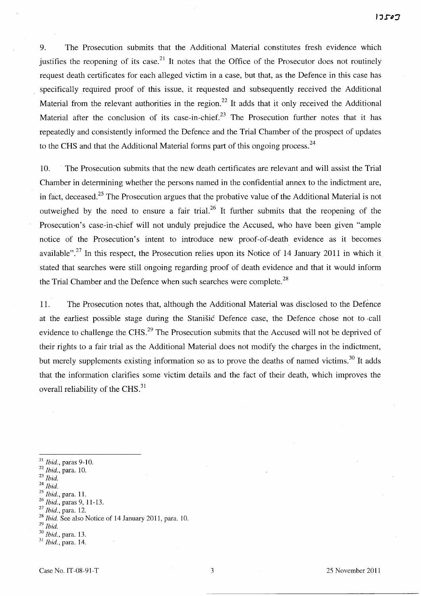9. The Prosecution submits that the Additional Material constitutes fresh evidence which justifies the reopening of its case.<sup>21</sup> It notes that the Office of the Prosecutor does not routinely request death certificates for each alleged victim in a case, but that, as the Defence in this case has specifically required proof of this issue, it requested and subsequently received the Additional Material from the relevant authorities in the region.<sup>22</sup> It adds that it only received the Additional Material after the conclusion of its case-in-chief.<sup>23</sup> The Prosecution further notes that it has repeatedly and consistently informed the Defence and the Trial Chamber of the prospect of updates to the CHS and that the Additional Material forms part of this ongoing process.<sup>24</sup>

10. . The Prosecution submits that the new death certificates are relevant and will assist the Trial Chamber in determining whether the persons named in the confidential annex to the indictment are, in fact, deceased.<sup>25</sup> The Prosecution argues that the probative value of the Additional Material is not outweighed by the need to ensure a fair trial.<sup>26</sup> It further submits that the reopening of the Prosecution's case-in-chief will not unduly prejudice the Accused, who have been given "ample notice of the Prosecution's intent to introduce new proof-of-death evidence as it becomes available".<sup>27</sup> In this respect, the Prosecution relies upon its Notice of 14 January 2011 in which it stated that searches were still ongoing regarding proof of death evidence and that it would inform the Trial Chamber and the Defence when such searches were complete.<sup>28</sup>

11. The Prosecution notes that, although the Additional Material was disclosed to the Defence at the earliest possible stage during the Stanisic Defence case, the Defence chose not to ,call evidence to challenge the CHS.<sup>29</sup> The Prosecution submits that the Accused will not be deprived of their rights to a fair trial as the Additional Material does not modify the charges in the indictment, but merely supplements existing information so as to prove the deaths of named victims.<sup>30</sup> It adds that the information clarifies some victim details and the fact of their death, which improves the overall reliability of the CHS.<sup>31</sup>

- <sup>21</sup>*Ibid.,* paras 9-10.
- <sup>22</sup>*Ibid.,* para. 10.
- *23 Ibid.*
- <sup>24</sup>*Ibid.*
- *25 Ibid.,* para. 1l.
- *26 Ibid.,* paras 9, 11-l3.
- <sup>27</sup>*Ibid.,* para. 12.

- <sup>29</sup>*Ibid.*
- *30 Ibid.,* para. l3.

<sup>28</sup>*Ibid.* See also Notice of 14 January 2011, para. 10.

<sup>31</sup>*Ibid.,* para. 14.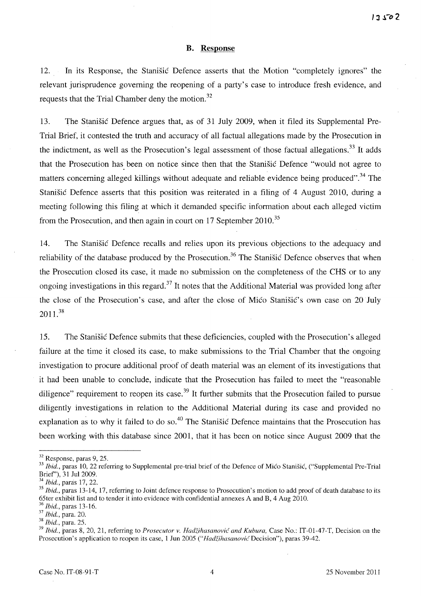#### **B. Response**

12. **In** its Response, the Stanisic Defence asserts that the Motion "completely ignores" the relevant jurisprudence governing the reopening of a party's case to introduce fresh evidence, and requests that the Trial Chamber deny the motion.<sup>32</sup>

l3. The Stanisic Defence argues that, as of 31 July 2009, when it filed its Supplemental Pre-Trial Brief, it contested the truth and accuracy of all factual allegations made by the Prosecution in the indictment, as well as the Prosecution's legal assessment of those factual allegations.<sup>33</sup> It adds that the Prosecution has been on notice since then that the Stanistic Defence "would not agree to matters concerning alleged killings without adequate and reliable evidence being produced".<sup>34</sup> The Stanisic Defence asserts that this position was reiterated in a filing of 4 August 2010, during a meeting following this filing at which it demanded specific information about each alleged victim from the Prosecution, and then again in court on 17 September 2010.<sup>35</sup>

14. The Stanisic Defence recalls and relies upon its previous objections to the adequacy and reliability of the database produced by the Prosecution.<sup>36</sup> The Stanisic Defence observes that when the Prosecution closed its case, it made no submission on the completeness of the CHS or to any ongoing investigations in this regard. $37$  It notes that the Additional Material was provided long after the close of the Prosecution's case, and after the close of Mico Stanisic's own case on 20 July 2011. <sup>38</sup>

15. The Stanisic Defence submits that these deficiencies, coupled with the Prosecution's alleged failure at the time it closed its case, to make submissions to the Trial Chamber that the ongoing investigation to procure additional proof of death material was an element of its investigations that it had been unable to conclude, indicate that the Prosecution has failed to meet the "reasonable diligence" requirement to reopen its case.<sup>39</sup> It further submits that the Prosecution failed to pursue diligently investigations in relation to the Additional Material during its case and provided no explanation as to why it failed to do so.<sup>40</sup> The Stanišic Defence maintains that the Prosecution has been working with this database since 2001, that it has been on notice since August 2009 that the

*36 Ibid.,* paras 13-16.

<sup>32</sup> Response, paras 9, 25.

<sup>&</sup>lt;sup>33</sup> Ibid., paras 10, 22 referring to Supplemental pre-trial brief of the Defence of Mićo Stanišić, ("Supplemental Pre-Trial Brier'), 31 Ju12009.

<sup>34</sup>*Ibid.,* paras 17, 22.

<sup>&</sup>lt;sup>35</sup>*Ibid.*, paras 13-14, 17, referring to Joint defence response to Prosecution's motion to add proof of death database to its 65ter exhibit list and to tender it into evidence with confidential annexes A and B, 4 Aug 2010.

<sup>37</sup>*Ibid.,* para. 20.

*<sup>38</sup> Ibid.,* para. 25.

<sup>&</sup>lt;sup>39</sup> Ibid., paras 8, 20, 21, referring to *Prosecutor v. Hadžihasanović and Kubura*, Case No.: IT-01-47-T, Decision on the Prosecution's application to reopen its case, 1 Jun 2005 ("Hadžihasanovic Decision"), paras 39-42.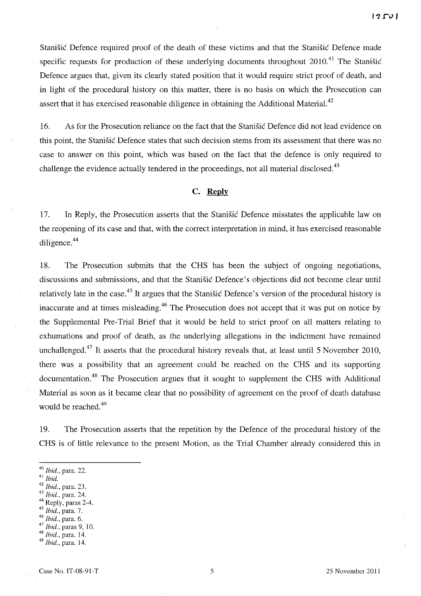Stanisic Defence required proof of the death of these victims and that the Stanisic Defence made specific requests for production of these underlying documents throughout  $2010<sup>41</sup>$ . The Stanisic Defence argues that, given its clearly stated position that it would require strict proof of death, and in light of the procedural history on this matter, there is no basis on which the Prosecution can assert that it has exercised reasonable diligence in obtaining the Additional Material.<sup>42</sup>

16. As for the Prosecution reliance on the fact that the Stanisic Defence did not lead evidence on this point, the Stanisic Defence states that such decision stems from its assessment that there was no case to answer on this point, which was based on the fact that the defence is only required to challenge the evidence actually tendered in the proceedings, not all material disclosed.<sup>43</sup>

### C. **Reply**

17. In Reply, the Prosecution asserts that the Stanisic Defence misstates the applicable law on the reopening of its case and that, with the correct interpretation in mind, it has exercised reasonable diligence.<sup>44</sup>

18. The Prosecution submits that the CHS has been the subject of ongomg negotiations, discussions and submissions, and that the Stanisic Defence's objections did not become clear until relatively late in the case.<sup>45</sup> It argues that the Stanišić Defence's version of the procedural history is inaccurate and at times misleading.<sup>46</sup> The Prosecution does not accept that it was put on notice by the Supplemental Pre-Trial Brief that it would be held to strict proof on all matters relating to exhumations and proof of death, as the underlying allegations in the indictment have remained unchallenged.<sup>47</sup> It asserts that the procedural history reveals that, at least until 5 November 2010, there was a possibility that an agreement could be reached on the CHS and its supporting documentation.<sup>48</sup> The Prosecution argues that it sought to supplement the CHS with Additional Material as soon as it became clear that no possibility of agreement on the proof of death database would be reached.<sup>49</sup>

19. The Prosecution asserts that the repetition by the Defence of the procedural history of the CHS is of little relevance to the present Motion, as the Trial Chamber already considered this in

- *43 Ibid.,* para. 24.
- <sup>44</sup> Reply, paras 2-4.
- *45 Ibid.,* para. 7.
- <sup>46</sup>*Ibid.,* para. 6.
- <sup>47</sup>*Ibid.,* paras 9, 10.
- <sup>48</sup>*Ibid.,* para. 14. *49 Ibid.,* para. 14.

<sup>40</sup>*Ibid.,* para. 22.

<sup>41</sup>*Ibid.* 

*<sup>42</sup> Ibid.,* para. 23.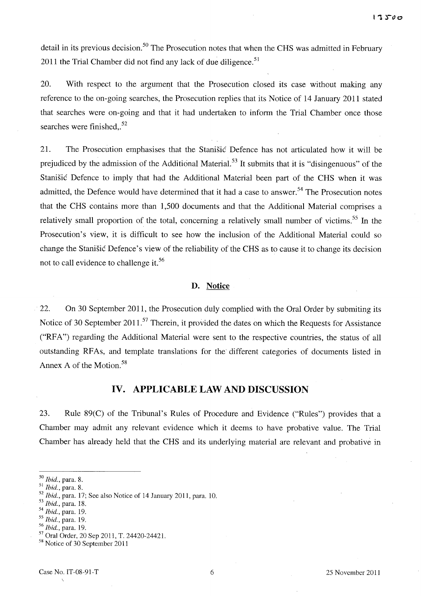detail in its previous decision.<sup>50</sup> The Prosecution notes that when the CHS was admitted in February 2011 the Trial Chamber did not find any lack of due diligence.<sup>51</sup>

20. With respect to the argument that the Prosecution closed its case without making any reference to the on-going searches, the Prosecution replies that its Notice of 14 January 2011 stated that searches were on-going and that it had undertaken to inform the Trial Chamber once those searches were finished..<sup>52</sup>

21. The Prosecution emphasises that the Stanisic Defence has not articulated how it will be prejudiced by the admission of the Additional Material.<sup>53</sup> It submits that it is "disingenuous" of the Stanisic Defence to imply that had the Additional Material been part of the CHS when it was admitted, the Defence would have determined that it had a case to answer.<sup>54</sup> The Prosecution notes that the CHS contains more than 1,500 documents and that the Additional Material comprises a relatively small proportion of the total, concerning a relatively small number of victims.<sup>55</sup> In the Prosecution's view, it is difficult to see how the inclusion of the Additional Material could so change the Stanisic Defence's view of the reliability of the CHS as to cause it to change its decision not to call evidence to challenge it.<sup>56</sup>

#### **D. Notice**

22. On 30 September 2011, the Prosecution duly complied with the Oral Order by submiting its Notice of 30 September 2011.<sup>57</sup> Therein, it provided the dates on which the Requests for Assistance ("RFA") regarding the Additional Material were sent to the respective countries, the status of all outstanding RF As, and template translations for the' different categories of documents listed in Annex A of the Motion.<sup>58</sup>

# **IV. APPLICABLE LAW AND DISCUSSION**

23. Rule 89(C) of the Tribunal's Rules of Procedure and Evidence ("Rules") provides that a Chamber may admit any relevant evidence which it deems to have probative value. The Trial Chamber has already held that the CHS and its underlying material are relevant and probative in

*56 Ibid.,* para. 19.

 $\Delta$ 

*<sup>50</sup> Ibid.,* para. S.

<sup>51</sup>*Ibid.,* para. S.

*<sup>52</sup> Ibid.,* para. 17; See also Notice of 14 January 2011, para. 10.

*<sup>53</sup> Ibid.,* para. IS.

*<sup>54</sup> Ibid.,* para. 19.

<sup>55</sup>*Ibid.,* para. 19.

<sup>57</sup> Oral Order, 20 Sep 2011, T. 24420-2442l.

<sup>58</sup> Notice of 30 September 2011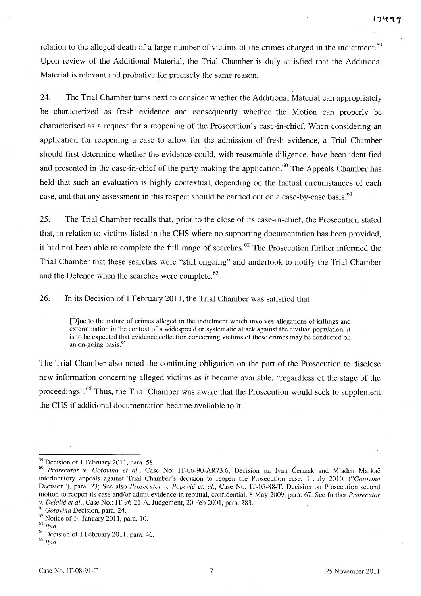relation to the alleged death of a large number of victims of the crimes charged in the indictment.<sup>59</sup> Upon review of the Additional Material, the Trial Chamber is duly satisfied that the Additional Material is relevant and probative for precisely the same reason.

24. The Trial Chamber turns next to consider whether the Additional Material can appropriately be characterized as fresh evidence and consequently whether the Motion can properly be characterised as a request for a reopening of the Prosecution's case-in-chief. When considering an application for reopening a case to allow for the admission of fresh evidence, a Trial Chamber should first determine whether the evidence could, with reasonable diligence, have been identified and presented in the case-in-chief of the party making the application.<sup>60</sup> The Appeals Chamber has held that such an evaluation is highly contextual, depending on the factual circumstances of each case, and that any assessment in this respect should be carried out on a case-by-case basis.<sup>61</sup>

25. The Trial Chamber recalls that, prior to the close of its case-in-chief, the Prosecution stated that, in relation to victims listed in the CHS where no supporting documentation has been provided, it had not been able to complete the full range of searches.<sup>62</sup> The Prosecution further informed the Trial Chamber that these searches were "still ongoing" and undertook to notify the Trial Chamber and the Defence when the searches were complete.<sup>63</sup>

26. In its Decision of 1 February 2011, the Trial Chamber was satisfied that

[D]ue to the nature of crimes alleged in the indictment which involves allegations of killings and extermination in the context of a widespread or systematic attack against the civilian population, it is to be expected that evidence collection concerning victims of these crimes may be conducted on an on-going basis.<sup>64</sup>

The Trial Chamber also noted the continuing obligation on the part of the Prosecution to disclose new information concerning alleged victims as it became available, "regardless of the stage of the proceedings".<sup>65</sup> Thus, the Trial Chamber was aware that the Prosecution would seek to supplement the CHS if additional documentation became available to it.

<sup>59</sup> Decision of 1 February 2011, para. 58.

*<sup>60</sup> Prosecutor v. Gotovina et aI.,* Case No: IT-06-90-AR73.6, Decision on Ivan Cerrnak and Mladen Markac interlocutory appeals against Trial Chamber's decision to reopen the Prosecution case, 1 July 2010, *("Gotovina*  Decision"), para. 23; See also *Prosecutor v. Popovic et. al.,* Case No: IT-05-88-T, Decision on Prosecution second motion to reopen its case and/or admit evidence in rebuttal, confidential, 8 May 2009, para. 67. See further *Prosecutor v. Delalic et al.,* Case No.: IT-96-21-A, Judgement, 20 Feb 2001, para. 283.

<sup>61</sup>*Gotovina* Decision, para. 24.

<sup>62</sup> Notice of 14 January 2011, para. 10.

*<sup>63</sup> Ibid.* 

<sup>&</sup>lt;sup>64</sup> Decision of 1 February 2011, para. 46.

*<sup>65</sup> Ibid.*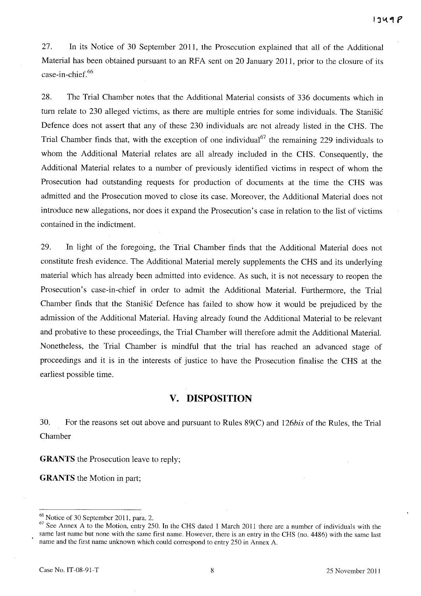27. In its Notice of 30 September 2011, the Prosecution explained that all of the Additional Material has been obtained pursuant to an RFA sent on 20 January 2011, prior to the closure of its case-in -chief. 66

28. The Trial Chamber notes that the Additional Material consists of 336 documents which in turn relate to 230 alleged victims, as there are multiple entries for some individuals. The Stanisic Defence does not assert that any of these 230 individuals are not already listed in the CHS. The Trial Chamber finds that, with the exception of one individual<sup>67</sup> the remaining 229 individuals to whom the Additional Material relates are all already included in the CHS. Consequently, the Additional Material relates to a number of previously identified victims in respect of whom the Prosecution had outstanding requests for production of documents at the time the CHS was admitted and the Prosecution moved to close its case. Moreover, the Additional Material does not introduce new allegations, nor does it expand the Prosecution's case in relation to the list of victims contained in the indictment.

29. In light of the foregoing, the Trial Chamber finds that the Additional Material does not constitute fresh evidence. The Additional Material merely supplements the CHS and its underlying material which has already been admitted into evidence. As such, it is not necessary to reopen the Prosecution's case-in-chief in order to admit the Additional Material. Furthermore, the Trial Chamber finds that the Stanisic Defence has failed to show how it would be prejudiced by the admission of the Additional Material. Having already found the Additional Material to be relevant and probative to these proceedings, the Trial Chamber will therefore admit the Additional Material. Nonetheless, the Trial Chamber is mindful that the trial has reached an advanced stage of proceedings and it is in the interests of justice to have the Prosecution finalise the CHS at the earliest possible time.

# **v. DISPOSITION**

30. For the reasons set out above and pursuant to Rules 89(C) and 126bis of the Rules, the Trial Chamber

**GRANTS** the Prosecution leave to reply;

**GRANTS** the Motion in part;

<sup>&</sup>lt;sup>66</sup> Notice of 30 September 2011, para. 2.

 $\frac{67}{67}$  See Annex A to the Motion, entry 250. In the CHS dated 1 March 2011 there are a number of individuals with the same last name but none with the same first name. However, there is an entry in the CHS (no. 4486) with the same last name and the first name unknown which could correspond to entry 250 in Annex A.